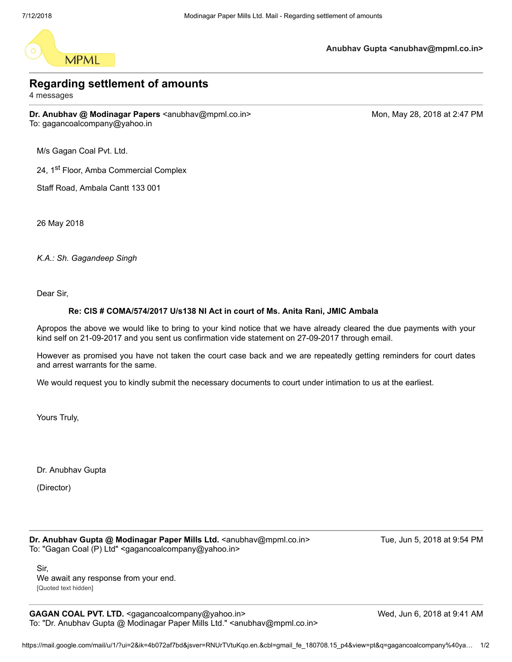

**Anubhav Gupta <anubhav@mpml.co.in>**

## **Regarding settlement of amounts**

4 messages

**Dr. Anubhav @ Modinagar Papers** <anubhav@mpml.co.in> Monetal Mon, May 28, 2018 at 2:47 PM To: gagancoalcompany@yahoo.in

M/s Gagan Coal Pvt. Ltd.

24, 1<sup>st</sup> Floor, Amba Commercial Complex

Staff Road, Ambala Cantt 133 001

26 May 2018

*K.A.: Sh. Gagandeep Singh*

Dear Sir,

## **Re: CIS # COMA/574/2017 U/s138 NI Act in court of Ms. Anita Rani, JMIC Ambala**

Apropos the above we would like to bring to your kind notice that we have already cleared the due payments with your kind self on 21-09-2017 and you sent us confirmation vide statement on 27-09-2017 through email.

However as promised you have not taken the court case back and we are repeatedly getting reminders for court dates and arrest warrants for the same.

We would request you to kindly submit the necessary documents to court under intimation to us at the earliest.

Yours Truly,

Dr. Anubhav Gupta

(Director)

**Dr. Anubhav Gupta @ Modinagar Paper Mills Ltd.** <anubhav@mpml.co.in> Tue, Jun 5, 2018 at 9:54 PM To: "Gagan Coal (P) Ltd" <gagancoalcompany@yahoo.in>

Sir, We await any response from your end. [Quoted text hidden]

**GAGAN COAL PVT. LTD.** <gagancoalcompany@yahoo.in> Wed, Jun 6, 2018 at 9:41 AM To: "Dr. Anubhav Gupta @ Modinagar Paper Mills Ltd." <anubhav@mpml.co.in>

https://mail.google.com/mail/u/1/?ui=2&ik=4b072af7bd&jsver=RNUrTVtuKqo.en.&cbl=gmail\_fe\_180708.15\_p4&view=pt&q=gagancoalcompany%40ya… 1/2